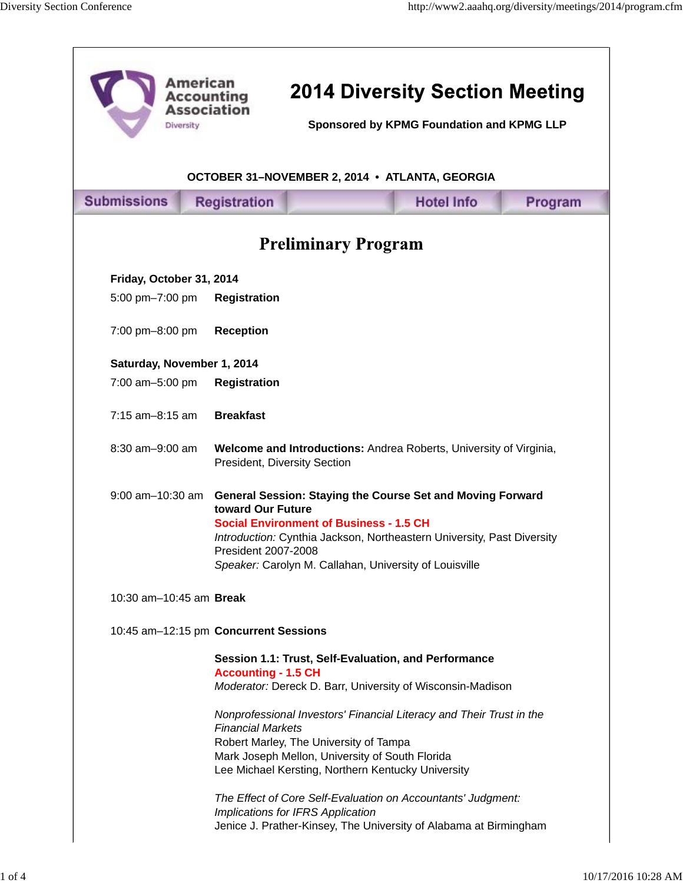| <b>American</b><br><b>Accounting</b><br><b>Association</b><br>Diversity |                                          | <b>2014 Diversity Section Meeting</b><br>Sponsored by KPMG Foundation and KPMG LLP                                                                                                                                                                      |                   |         |  |
|-------------------------------------------------------------------------|------------------------------------------|---------------------------------------------------------------------------------------------------------------------------------------------------------------------------------------------------------------------------------------------------------|-------------------|---------|--|
| OCTOBER 31-NOVEMBER 2, 2014 • ATLANTA, GEORGIA                          |                                          |                                                                                                                                                                                                                                                         |                   |         |  |
| <b>Submissions</b>                                                      | <b>Registration</b>                      |                                                                                                                                                                                                                                                         | <b>Hotel Info</b> | Program |  |
| <b>Preliminary Program</b>                                              |                                          |                                                                                                                                                                                                                                                         |                   |         |  |
| Friday, October 31, 2014                                                |                                          |                                                                                                                                                                                                                                                         |                   |         |  |
| 5:00 pm-7:00 pm                                                         | <b>Registration</b>                      |                                                                                                                                                                                                                                                         |                   |         |  |
| 7:00 pm-8:00 pm                                                         | <b>Reception</b>                         |                                                                                                                                                                                                                                                         |                   |         |  |
| Saturday, November 1, 2014                                              |                                          |                                                                                                                                                                                                                                                         |                   |         |  |
| 7:00 am-5:00 pm                                                         | <b>Registration</b>                      |                                                                                                                                                                                                                                                         |                   |         |  |
| 7:15 am-8:15 am                                                         | <b>Breakfast</b>                         |                                                                                                                                                                                                                                                         |                   |         |  |
| 8:30 am-9:00 am                                                         | President, Diversity Section             | Welcome and Introductions: Andrea Roberts, University of Virginia,                                                                                                                                                                                      |                   |         |  |
| $9:00$ am $-10:30$ am                                                   | toward Our Future<br>President 2007-2008 | <b>General Session: Staying the Course Set and Moving Forward</b><br><b>Social Environment of Business - 1.5 CH</b><br>Introduction: Cynthia Jackson, Northeastern University, Past Diversity<br>Speaker: Carolyn M. Callahan, University of Louisville |                   |         |  |
| 10:30 am-10:45 am Break                                                 |                                          |                                                                                                                                                                                                                                                         |                   |         |  |
| 10:45 am-12:15 pm Concurrent Sessions                                   |                                          |                                                                                                                                                                                                                                                         |                   |         |  |
|                                                                         | <b>Accounting - 1.5 CH</b>               | Session 1.1: Trust, Self-Evaluation, and Performance<br>Moderator: Dereck D. Barr, University of Wisconsin-Madison                                                                                                                                      |                   |         |  |
|                                                                         | <b>Financial Markets</b>                 | Nonprofessional Investors' Financial Literacy and Their Trust in the<br>Robert Marley, The University of Tampa<br>Mark Joseph Mellon, University of South Florida<br>Lee Michael Kersting, Northern Kentucky University                                 |                   |         |  |
|                                                                         |                                          | The Effect of Core Self-Evaluation on Accountants' Judgment:<br>Implications for IFRS Application<br>Jenice J. Prather-Kinsey, The University of Alabama at Birmingham                                                                                  |                   |         |  |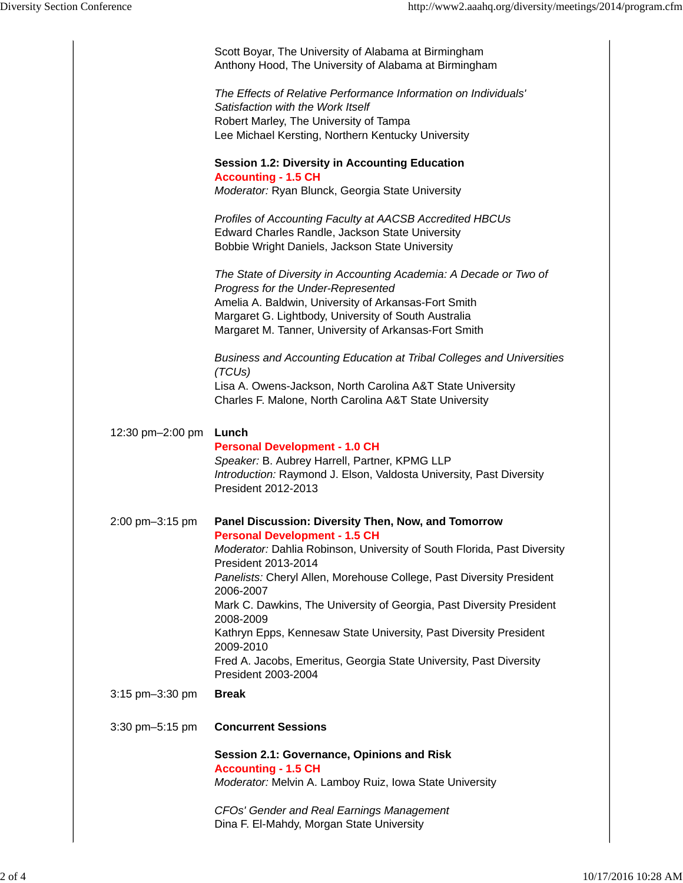|                  | Scott Boyar, The University of Alabama at Birmingham<br>Anthony Hood, The University of Alabama at Birmingham                                                  |
|------------------|----------------------------------------------------------------------------------------------------------------------------------------------------------------|
|                  | The Effects of Relative Performance Information on Individuals'<br>Satisfaction with the Work Itself<br>Robert Marley, The University of Tampa                 |
|                  | Lee Michael Kersting, Northern Kentucky University                                                                                                             |
|                  | <b>Session 1.2: Diversity in Accounting Education</b><br><b>Accounting - 1.5 CH</b><br>Moderator: Ryan Blunck, Georgia State University                        |
|                  |                                                                                                                                                                |
|                  | Profiles of Accounting Faculty at AACSB Accredited HBCUs<br>Edward Charles Randle, Jackson State University<br>Bobbie Wright Daniels, Jackson State University |
|                  | The State of Diversity in Accounting Academia: A Decade or Two of<br>Progress for the Under-Represented                                                        |
|                  | Amelia A. Baldwin, University of Arkansas-Fort Smith                                                                                                           |
|                  | Margaret G. Lightbody, University of South Australia<br>Margaret M. Tanner, University of Arkansas-Fort Smith                                                  |
|                  |                                                                                                                                                                |
|                  | Business and Accounting Education at Tribal Colleges and Universities<br>(TCUs)                                                                                |
|                  | Lisa A. Owens-Jackson, North Carolina A&T State University<br>Charles F. Malone, North Carolina A&T State University                                           |
|                  |                                                                                                                                                                |
| 12:30 pm-2:00 pm | Lunch                                                                                                                                                          |
|                  | <b>Personal Development - 1.0 CH</b>                                                                                                                           |
|                  | Speaker: B. Aubrey Harrell, Partner, KPMG LLP<br>Introduction: Raymond J. Elson, Valdosta University, Past Diversity                                           |
|                  | President 2012-2013                                                                                                                                            |
| 2:00 pm-3:15 pm  | Panel Discussion: Diversity Then, Now, and Tomorrow<br><b>Personal Development - 1.5 CH</b>                                                                    |
|                  | Moderator: Dahlia Robinson, University of South Florida, Past Diversity<br>President 2013-2014                                                                 |
|                  | Panelists: Cheryl Allen, Morehouse College, Past Diversity President<br>2006-2007                                                                              |
|                  | Mark C. Dawkins, The University of Georgia, Past Diversity President<br>2008-2009                                                                              |
|                  | Kathryn Epps, Kennesaw State University, Past Diversity President<br>2009-2010                                                                                 |
|                  | Fred A. Jacobs, Emeritus, Georgia State University, Past Diversity<br>President 2003-2004                                                                      |
| 3:15 pm-3:30 pm  | <b>Break</b>                                                                                                                                                   |
| 3:30 pm-5:15 pm  | <b>Concurrent Sessions</b>                                                                                                                                     |
|                  | Session 2.1: Governance, Opinions and Risk<br><b>Accounting - 1.5 CH</b>                                                                                       |
|                  | Moderator: Melvin A. Lamboy Ruiz, Iowa State University                                                                                                        |
|                  | <b>CFOs' Gender and Real Earnings Management</b><br>Dina F. El-Mahdy, Morgan State University                                                                  |
|                  |                                                                                                                                                                |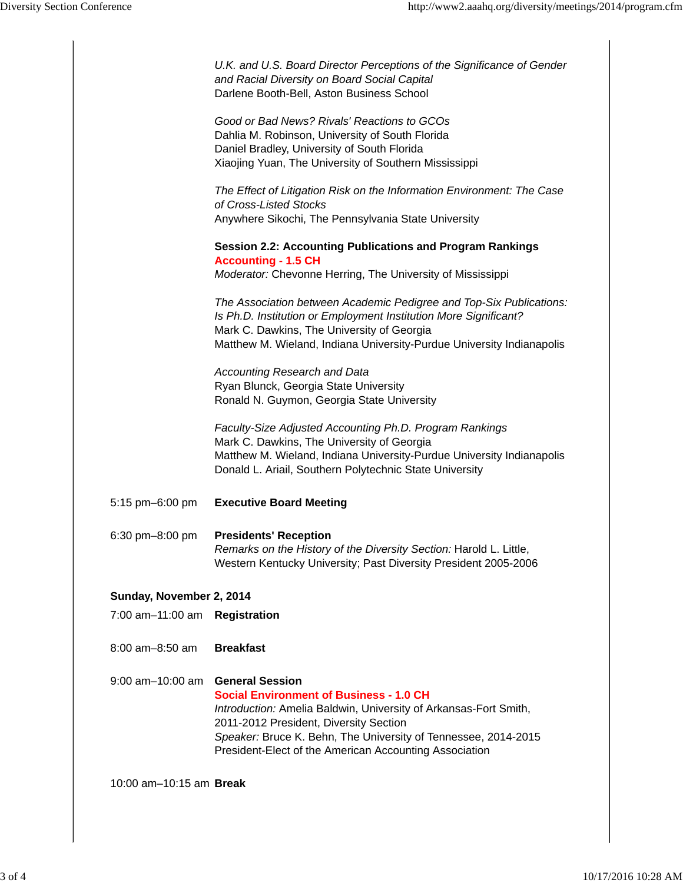|                          | U.K. and U.S. Board Director Perceptions of the Significance of Gender<br>and Racial Diversity on Board Social Capital<br>Darlene Booth-Bell, Aston Business School                   |
|--------------------------|---------------------------------------------------------------------------------------------------------------------------------------------------------------------------------------|
|                          | Good or Bad News? Rivals' Reactions to GCOs                                                                                                                                           |
|                          | Dahlia M. Robinson, University of South Florida                                                                                                                                       |
|                          | Daniel Bradley, University of South Florida<br>Xiaojing Yuan, The University of Southern Mississippi                                                                                  |
|                          | The Effect of Litigation Risk on the Information Environment: The Case<br>of Cross-Listed Stocks                                                                                      |
|                          | Anywhere Sikochi, The Pennsylvania State University                                                                                                                                   |
|                          | <b>Session 2.2: Accounting Publications and Program Rankings</b><br><b>Accounting - 1.5 CH</b>                                                                                        |
|                          | Moderator: Chevonne Herring, The University of Mississippi                                                                                                                            |
|                          | The Association between Academic Pedigree and Top-Six Publications:<br>Is Ph.D. Institution or Employment Institution More Significant?<br>Mark C. Dawkins, The University of Georgia |
|                          | Matthew M. Wieland, Indiana University-Purdue University Indianapolis                                                                                                                 |
|                          | <b>Accounting Research and Data</b>                                                                                                                                                   |
|                          | Ryan Blunck, Georgia State University<br>Ronald N. Guymon, Georgia State University                                                                                                   |
|                          | Faculty-Size Adjusted Accounting Ph.D. Program Rankings<br>Mark C. Dawkins, The University of Georgia                                                                                 |
|                          | Matthew M. Wieland, Indiana University-Purdue University Indianapolis<br>Donald L. Ariail, Southern Polytechnic State University                                                      |
| 5:15 pm-6:00 pm          | <b>Executive Board Meeting</b>                                                                                                                                                        |
| 6:30 pm-8:00 pm          | <b>Presidents' Reception</b>                                                                                                                                                          |
|                          | Remarks on the History of the Diversity Section: Harold L. Little,<br>Western Kentucky University; Past Diversity President 2005-2006                                                 |
| Sunday, November 2, 2014 |                                                                                                                                                                                       |
| 7:00 am-11:00 am         | <b>Registration</b>                                                                                                                                                                   |
| 8:00 am-8:50 am          | <b>Breakfast</b>                                                                                                                                                                      |
| $9:00$ am $-10:00$ am    | <b>General Session</b><br><b>Social Environment of Business - 1.0 CH</b>                                                                                                              |
|                          | Introduction: Amelia Baldwin, University of Arkansas-Fort Smith,                                                                                                                      |
|                          | 2011-2012 President, Diversity Section<br>Speaker: Bruce K. Behn, The University of Tennessee, 2014-2015                                                                              |
|                          | President-Elect of the American Accounting Association                                                                                                                                |
| 10:00 am-10:15 am Break  |                                                                                                                                                                                       |
|                          |                                                                                                                                                                                       |
|                          |                                                                                                                                                                                       |